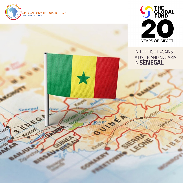

Senegal

S Reciped

February 1

Tipes

erde

National A

River &



## *IN THE FIGHT AGAINST AIDS, TB AND MALARIA IN* **SENEGAL**

**RR** 

**K** 

88180

BEL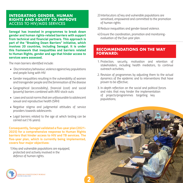## **INTEGRATING GENDER, HUMAN RIGHTS AND EQUITY TO IMPROVE**  ACCESS TO HIV/AIDS SERVICES

**Senegal has invested in programmes to break down gender and human rights-related barriers with support from technical and financial partners. This approach is part of the "Breaking Down Barriers" initiative, which involves 20 countries, including Senegal. It is under this framework that inequalities and barriers related to Human Rights, gender and age that hinder access to services were assessed.**

*The main barriers identified include:*

- *Discriminatory behaviour, violence against key populations and people living with HIV*
- *• Gender inequalities resulting in the vulnerability of women and transgender people and the feminisation of the disease*
- *• Geographical (accessibility), financial (cost) and social (poverty) barriers combined with ARV stock-outs*
- *Laws and social norms that are unfavourable to adolescent sexual and reproductive health (SRH)*
- *• Negative stigma and judgmental attitudes of service providers towards adolescents*
- *• Legal barriers related to the age at which testing can be carried out (16 years).*

**Consequently, Senegal validated a five-year plan (2021- 2025) for a comprehensive response to Human Rights barriers that hinder access to HIV and TB services. The five-year plan, which is currently being implemented, covers four major objectives:**

*1) Key and vulnerable populations are equipped, protected and actively involved in the defence of human rights.*



- *2) Interlocutors of key and vulnerable populations are sensitised, empowered and committed to the promotion of human rights*
- *3) Reduce inequalities and gender-based violence.*
- *4) Ensure the coordination, promotion and monitoringevaluation of the five-year plan.*

## **RECOMMENDATIONS ON THE WAY FORWARD:**

- *1. Protection, security, motivation and retention of stakeholders, including health mediators, to continue outreach activities;*
- *2. Revision of programmes by adjusting them to the actual dynamics of the epidemic and to interventions that have proven to be effective;*
- *3. In-depth reflection on the social and political forces and risks that may hinder the implementation of projects/programmes targeting key populations;*